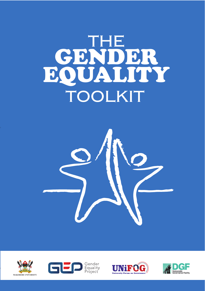# THE GENDER EQUALITY TOOLKIT









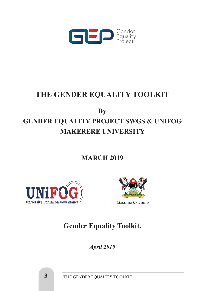

# **THE GENDER EQUALITY TOOLKIT**

**By**

# **GENDER EQUALITY PROJECT SWGS & UNIFOG MAKERERE UNIVERSITY**

**MARCH 2019**





# **Gender Equality Toolkit.**

*April 2019*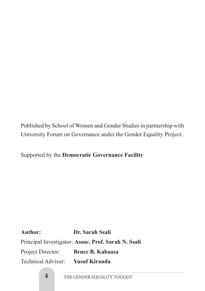Published by School of Women and Gender Studies in partnership with University Forum on Governance under the Gender Equality Project.

Supported by the **Democratic Governance Facility** 

**Author: Dr. Sarah Ssali** Principal Investigator: **Assoc. Prof. Sarah N. Ssali** Project Director: **Bruce B. Kabaasa** Technical Advisor: **Yusuf Kiranda**

**4** THE GENDER EQUALITY TOOLKIT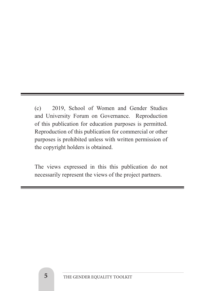(c) 2019, School of Women and Gender Studies and University Forum on Governance. Reproduction of this publication for education purposes is permitted. Reproduction of this publication for commercial or other purposes is prohibited unless with written permission of the copyright holders is obtained.

The views expressed in this this publication do not necessarily represent the views of the project partners.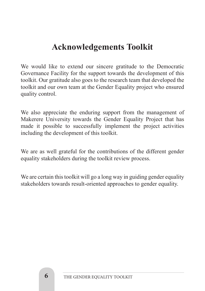# **Acknowledgements Toolkit**

We would like to extend our sincere gratitude to the Democratic Governance Facility for the support towards the development of this toolkit. Our gratitude also goes to the research team that developed the toolkit and our own team at the Gender Equality project who ensured quality control.

We also appreciate the enduring support from the management of Makerere University towards the Gender Equality Project that has made it possible to successfully implement the project activities including the development of this toolkit.

We are as well grateful for the contributions of the different gender equality stakeholders during the toolkit review process.

We are certain this toolkit will go a long way in guiding gender equality stakeholders towards result-oriented approaches to gender equality.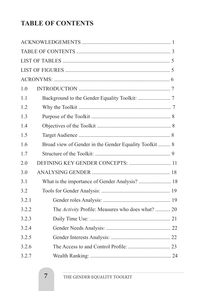# **TABLE OF CONTENTS**

| 1.0   |                                                        |  |
|-------|--------------------------------------------------------|--|
| 1.1   |                                                        |  |
| 1.2   |                                                        |  |
| 1.3   |                                                        |  |
| 1.4   |                                                        |  |
| 1.5   |                                                        |  |
| 1.6   | Broad view of Gender in the Gender Equality Toolkit  8 |  |
| 1.7   |                                                        |  |
| 2.0   |                                                        |  |
| 3.0   |                                                        |  |
| 3.1   | What is the importance of Gender Analysis?  18         |  |
| 3.2   |                                                        |  |
| 3.2.1 |                                                        |  |
| 3.2.2 | The Activity Profile: Measures who does what?  20      |  |
| 3.2.3 |                                                        |  |
| 3.2.4 |                                                        |  |
| 3.2.5 |                                                        |  |
| 3.2.6 |                                                        |  |
| 3.2.7 |                                                        |  |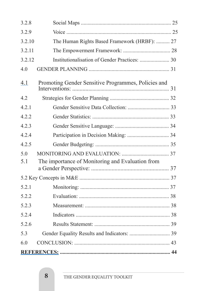| 3.2.8  |                                                     |  |
|--------|-----------------------------------------------------|--|
| 3.2.9  |                                                     |  |
| 3.2.10 | The Human Rights Based Framework (HRBF):  27        |  |
| 3.2.11 |                                                     |  |
| 3.2.12 |                                                     |  |
| 4.0    |                                                     |  |
| 4.1    | Promoting Gender Sensitive Programmes, Policies and |  |
| 4.2    |                                                     |  |
| 4.2.1  |                                                     |  |
| 4.2.2  |                                                     |  |
| 4.2.3  |                                                     |  |
| 4.2.4  |                                                     |  |
| 4.2.5  |                                                     |  |
| 5.0    |                                                     |  |
| 5.1    | The importance of Monitoring and Evaluation from    |  |
|        |                                                     |  |
| 5.2.1  |                                                     |  |
| 5.2.2  |                                                     |  |
| 5.2.3  |                                                     |  |
| 5.2.4  |                                                     |  |
| 5.2.6  |                                                     |  |
| 5.3    |                                                     |  |
| 60     |                                                     |  |
|        |                                                     |  |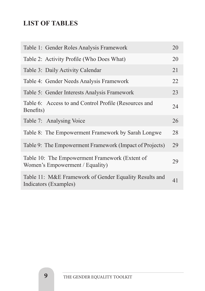# **LIST OF TABLES**

| Table 1: Gender Roles Analysis Framework                                          | 20 |
|-----------------------------------------------------------------------------------|----|
| Table 2: Activity Profile (Who Does What)                                         | 20 |
| Table 3: Daily Activity Calendar                                                  | 21 |
| Table 4: Gender Needs Analysis Framework                                          | 22 |
| Table 5: Gender Interests Analysis Framework                                      | 23 |
| Table 6: Access to and Control Profile (Resources and<br>Benefits)                | 24 |
| Table 7: Analysing Voice                                                          | 26 |
| Table 8: The Empowerment Framework by Sarah Longwe                                | 28 |
| Table 9: The Empowerment Framework (Impact of Projects)                           | 29 |
| Table 10: The Empowerment Framework (Extent of<br>Women's Empowerment / Equality) | 29 |
| Table 11: M&E Framework of Gender Equality Results and<br>Indicators (Examples)   | 41 |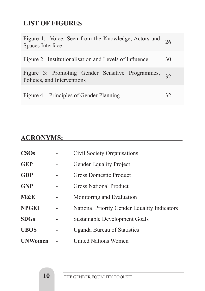# **LIST OF FIGURES**

| Figure 1: Voice: Seen from the Knowledge, Actors and 26<br>Spaces Interface        |    |
|------------------------------------------------------------------------------------|----|
| Figure 2: Institutionalisation and Levels of Influence:                            | 30 |
| Figure 3: Promoting Gender Sensitive Programmes, 32<br>Policies, and Interventions |    |
| Figure 4: Principles of Gender Planning                                            | 32 |

# **ACRONYMS:**

| <b>CSOs</b>    | Civil Society Organisations                  |
|----------------|----------------------------------------------|
| <b>GEP</b>     | <b>Gender Equality Project</b>               |
| <b>GDP</b>     | Gross Domestic Product                       |
| <b>GNP</b>     | <b>Gross National Product</b>                |
| <b>M&amp;E</b> | Monitoring and Evaluation                    |
| <b>NPGEI</b>   | National Priority Gender Equality Indicators |
| <b>SDGs</b>    | Sustainable Development Goals                |
| <b>UBOS</b>    | <b>Uganda Bureau of Statistics</b>           |
| <b>UNWomen</b> | <b>United Nations Women</b>                  |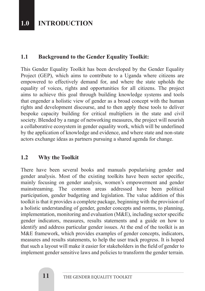# **1.0 INTRODUCTION**

#### **1.1 Background to the Gender Equality Toolkit:**

This Gender Equality Toolkit has been developed by the Gender Equality Project (GEP), which aims to contribute to a Uganda where citizens are empowered to effectively demand for, and where the state upholds the equality of voices, rights and opportunities for all citizens. The project aims to achieve this goal through building knowledge systems and tools that engender a holistic view of gender as a broad concept with the human rights and development discourse, and to then apply these tools to deliver bespoke capacity building for critical multipliers in the state and civil society. Blended by a range of networking measures, the project will nourish a collaborative ecosystem in gender equality work, which will be underlined by the application of knowledge and evidence, and where state and non-state actors exchange ideas as partners pursuing a shared agenda for change.

#### **1.2 Why the Toolkit**

There have been several books and manuals popularising gender and gender analysis. Most of the existing toolkits have been sector specific, mainly focusing on gender analysis, women's empowerment and gender mainstreaming. The common areas addressed have been political participation, gender budgeting and legislation. The value addition of this toolkit is that it provides a complete package, beginning with the provision of a holistic understanding of gender, gender concepts and norms, to planning, implementation, monitoring and evaluation (M&E), including sector specific gender indicators, measures, results statements and a guide on how to identify and address particular gender issues. At the end of the toolkit is an M&E framework, which provides examples of gender concepts, indicators, measures and results statements, to help the user track progress. It is hoped that such a layout will make it easier for stakeholders in the field of gender to implement gender sensitive laws and policies to transform the gender terrain.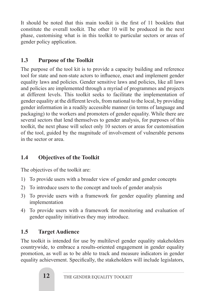It should be noted that this main toolkit is the first of 11 booklets that constitute the overall toolkit. The other 10 will be produced in the next phase, customising what is in this toolkit to particular sectors or areas of gender policy application.

## **1.3 Purpose of the Toolkit**

The purpose of the tool kit is to provide a capacity building and reference tool for state and non-state actors to influence, enact and implement gender equality laws and policies. Gender sensitive laws and policies, like all laws and policies are implemented through a myriad of programmes and projects at different levels. This toolkit seeks to facilitate the implementation of gender equality at the different levels, from national to the local, by providing gender information in a readily accessible manner (in terms of language and packaging) to the workers and promoters of gender equality. While there are several sectors that lend themselves to gender analysis, for purposes of this toolkit, the next phase will select only 10 sectors or areas for customisation of the tool, guided by the magnitude of involvement of vulnerable persons in the sector or area.

## **1.4 Objectives of the Toolkit**

The objectives of the toolkit are:

- 1) To provide users with a broader view of gender and gender concepts
- 2) To introduce users to the concept and tools of gender analysis
- 3) To provide users with a framework for gender equality planning and implementation
- 4) To provide users with a framework for monitoring and evaluation of gender equality initiatives they may introduce.

# **1.5 Target Audience**

The toolkit is intended for use by multilevel gender equality stakeholders countrywide, to embrace a results-oriented engagement in gender equality promotion, as well as to be able to track and measure indicators in gender equality achievement. Specifically, the stakeholders will include legislators,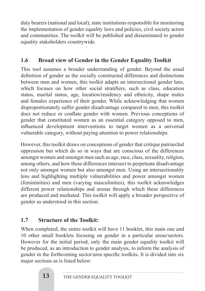duty bearers (national and local), state institutions responsible for monitoring the implementation of gender equality laws and policies, civil society actors and communities. The toolkit will be published and disseminated to gender equality stakeholders countrywide.

## **1.6 Broad view of Gender in the Gender Equality Toolkit**

This tool assumes a broader understanding of gender. Beyond the usual definition of gender as the socially constructed differences and distinctions between men and women, this toolkit adapts an intersectional gender lens, which focuses on how other social stratifiers, such as class, education status, marital status, age, location/residency and ethnicity, shape males and females experience of their gender. While acknowledging that women disproportionately suffer gender disadvantage compared to men, this toolkit does not reduce or conflate gender with women. Previous conceptions of gender that constituted women as an essential category opposed to men, influenced development interventions to target women as a universal vulnerable category, without paying attention to power relationships.

However, this toolkit draws on conceptions of gender that critique patriarchal oppression but which do so in ways that are conscious of the differences amongst women and amongst men such as age, race, class, sexuality, religion, among others, and how these differences intersect to perpetuate disadvantage not only amongst women but also amongst men. Using an intersectionality lens and highlighting multiple vulnerabilities and power amongst women (femininities) and men (varying masculinities), this toolkit acknowledges different power relationships and arenas through which these differences are produced and mediated. This toolkit will apply a broader perspective of gender as understood in this section.

# **1.7 Structure of the Toolkit:**

When completed, the entire toolkit will have 11 booklet, this main one and 10 other small booklets focusing on gender in a particular areas/sectors. However for the initial period, only the main gender equality toolkit will be produced, as an introduction to gender analysis, to inform the analysis of gender in the forthcoming sector/area specific toolkits. It is divided into six major sections as is listed below: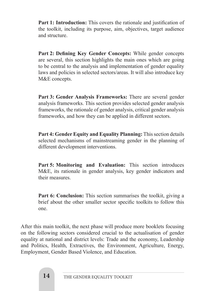**Part 1: Introduction:** This covers the rationale and justification of the toolkit, including its purpose, aim, objectives, target audience and structure.

**Part 2: Defining Key Gender Concepts:** While gender concepts are several, this section highlights the main ones which are going to be central to the analysis and implementation of gender equality laws and policies in selected sectors/areas. It will also introduce key M&E concepts.

**Part 3: Gender Analysis Frameworks:** There are several gender analysis frameworks. This section provides selected gender analysis frameworks, the rationale of gender analysis, critical gender analysis frameworks, and how they can be applied in different sectors.

**Part 4: Gender Equity and Equality Planning:** This section details selected mechanisms of mainstreaming gender in the planning of different development interventions.

**Part 5: Monitoring and Evaluation:** This section introduces M&E, its rationale in gender analysis, key gender indicators and their measures.

**Part 6: Conclusion:** This section summarises the toolkit, giving a brief about the other smaller sector specific toolkits to follow this one.

After this main toolkit, the next phase will produce more booklets focusing on the following sectors considered crucial to the actualisation of gender equality at national and district levels: Trade and the economy, Leadership and Politics, Health, Extractives, the Environment, Agriculture, Energy, Employment, Gender Based Violence, and Education.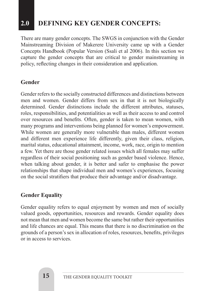# **2.0 DEFINING KEY GENDER CONCEPTS:**

There are many gender concepts. The SWGS in conjunction with the Gender Mainstreaming Division of Makerere University came up with a Gender Concepts Handbook (Popular Version (Ssali et al 2006). In this section we capture the gender concepts that are critical to gender mainstreaming in policy, reflecting changes in their consideration and application.

#### **Gender**

Gender refers to the socially constructed differences and distinctions between men and women. Gender differs from sex in that it is not biologically determined. Gender distinctions include the different attributes, statuses, roles, responsibilities, and potentialities as well as their access to and control over resources and benefits. Often, gender is taken to mean women, with many programs and interventions being planned for women's empowerment. While women are generally more vulnerable than males, different women and different men experience life differently, given their class, religion, marital status, educational attainment, income, work, race, origin to mention a few. Yet there are those gender related issues which all females may suffer regardless of their social positioning such as gender based violence. Hence, when talking about gender, it is better and safer to emphasise the power relationships that shape individual men and women's experiences, focusing on the social stratifiers that produce their advantage and/or disadvantage.

#### **Gender Equality**

Gender equality refers to equal enjoyment by women and men of socially valued goods, opportunities, resources and rewards. Gender equality does not mean that men and women become the same but rather their opportunities and life chances are equal. This means that there is no discrimination on the grounds of a person's sex in allocation of roles, resources, benefits, privileges or in access to services.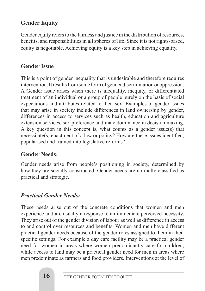## **Gender Equity**

Gender equity refers to the fairness and justice in the distribution of resources, benefits, and responsibilities in all spheres of life. Since it is not rights-based, equity is negotiable. Achieving equity is a key step in achieving equality.

#### **Gender Issue**

This is a point of gender inequality that is undesirable and therefore requires intervention. It results from some form of gender discrimination or oppression. A Gender issue arises when there is inequality, inequity, or differentiated treatment of an individual or a group of people purely on the basis of social expectations and attributes related to their sex. Examples of gender issues that may arise in society include differences in land ownership by gender, differences in access to services such as health, education and agriculture extension services, sex preference and male dominance in decision making. A key question in this concept is, what counts as a gender issue(s) that necessitate(s) enactment of a law or policy? How are these issues identified, popularised and framed into legislative reforms?

#### **Gender Needs:**

Gender needs arise from people's positioning in society, determined by how they are socially constructed. Gender needs are normally classified as practical and strategic.

#### *Practical Gender Needs:*

These needs arise out of the concrete conditions that women and men experience and are usually a response to an immediate perceived necessity. They arise out of the gender division of labour as well as difference in access to and control over resources and benefits. Women and men have different practical gender needs because of the gender roles assigned to them in their specific settings. For example a day care facility may be a practical gender need for women in areas where women predominantly care for children, while access to land may be a practical gender need for men in areas where men predominate as farmers and food providers. Interventions at the level of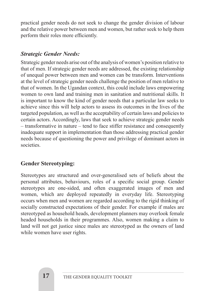practical gender needs do not seek to change the gender division of labour and the relative power between men and women, but rather seek to help them perform their roles more efficiently.

#### *Strategic Gender Needs:*

Strategic gender needs arise out of the analysis of women's position relative to that of men. If strategic gender needs are addressed, the existing relationship of unequal power between men and women can be transform. Interventions at the level of strategic gender needs challenge the position of men relative to that of women. In the Ugandan context, this could include laws empowering women to own land and training men in sanitation and nutritional skills. It is important to know the kind of gender needs that a particular law seeks to achieve since this will help actors to assess its outcomes in the lives of the targeted population, as well as the acceptability of certain laws and policies to certain actors. Accordingly, laws that seek to achieve strategic gender needs – transformative in nature – tend to face stiffer resistance and consequently inadequate support in implementation than those addressing practical gender needs because of questioning the power and privilege of dominant actors in societies.

#### **Gender Stereotyping:**

Stereotypes are structured and over-generalised sets of beliefs about the personal attributes, behaviours, roles of a specific social group. Gender stereotypes are one-sided, and often exaggerated images of men and women, which are deployed repeatedly in everyday life. Stereotyping occurs when men and women are regarded according to the rigid thinking of socially constructed expectations of their gender. For example if males are stereotyped as household heads, development planners may overlook female headed households in their programmes. Also, women making a claim to land will not get justice since males are stereotyped as the owners of land while women have user rights.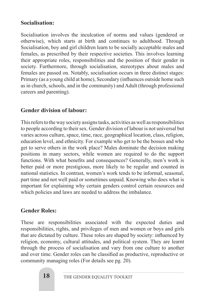#### **Socialisation:**

Socialisation involves the inculcation of norms and values (gendered or otherwise), which starts at birth and continues to adulthood. Through Socialisation, boy and girl children learn to be socially acceptable males and females, as prescribed by their respective societies. This involves learning their appropriate roles, responsibilities and the position of their gender in society. Furthermore, through socialisation, stereotypes about males and females are passed on. Notably, socialisation occurs in three distinct stages: Primary (as a young child at home), Secondary (influences outside home such as in church, schools, and in the community) and Adult (through professional careers and parenting).

#### **Gender division of labour:**

This refers to the way society assigns tasks, activities as well as responsibilities to people according to their sex. Gender division of labour is not universal but varies across culture, space, time, race, geographical location, class, religion, education level, and ethnicity. For example who get to be the bosses and who get to serve others in the work place? Males dominate the decision making positions in many sectors, while women are required to do the support functions. With what benefits and consequences? Generally, men's work is better paid or more prestigious, more likely to be regular and counted in national statistics. In contrast, women's work tends to be informal, seasonal, part time and not well paid or sometimes unpaid. Knowing who does what is important for explaining why certain genders control certain resources and which policies and laws are needed to address the imbalance.

#### **Gender Roles:**

These are responsibilities associated with the expected duties and responsibilities, rights, and privileges of men and women or boys and girls that are dictated by culture. These roles are shaped by society: influenced by religion, economy, cultural attitudes, and political system. They are learnt through the process of socialisation and vary from one culture to another and over time. Gender roles can be classified as productive, reproductive or community managing roles (For details see pg. 20).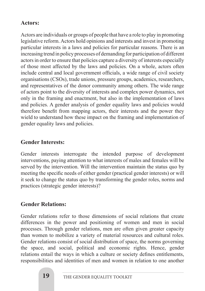#### **Actors:**

Actors are individuals or groups of people that have a role to play in promoting legislative reform. Actors hold opinions and interests and invest in promoting particular interests in a laws and policies for particular reasons. There is an increasing trend in policy processes of demanding for participation of different actors in order to ensure that policies capture a diversity of interests especially of those most affected by the laws and policies. On a whole, actors often include central and local government officials, a wide range of civil society organisations (CSOs), trade unions, pressure groups, academics, researchers, and representatives of the donor community among others. The wide range of actors point to the diversity of interests and complex power dynamics, not only in the framing and enactment, but also in the implementation of laws and policies. A gender analysis of gender equality laws and policies would therefore benefit from mapping actors, their interests and the power they wield to understand how these impact on the framing and implementation of gender equality laws and policies.

#### **Gender Interests:**

Gender interests interrogate the intended purpose of development interventions, paying attention to what interests of males and females will be served by the intervention. Will the intervention maintain the status quo by meeting the specific needs of either gender (practical gender interests) or will it seek to change the status quo by transforming the gender roles, norms and practices (strategic gender interests)?

#### **Gender Relations:**

Gender relations refer to those dimensions of social relations that create differences in the power and positioning of women and men in social processes. Through gender relations, men are often given greater capacity than women to mobilize a variety of material resources and cultural roles. Gender relations consist of social distribution of space, the norms governing the space, and social, political and economic rights. Hence, gender relations entail the ways in which a culture or society defines entitlements, responsibilities and identities of men and women in relation to one another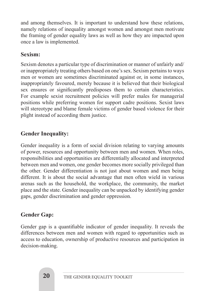and among themselves. It is important to understand how these relations, namely relations of inequality amongst women and amongst men motivate the framing of gender equality laws as well as how they are impacted upon once a law is implemented.

### **Sexism:**

Sexism denotes a particular type of discrimination or manner of unfairly and/ or inappropriately treating others based on one's sex. Sexism pertains to ways men or women are sometimes discriminated against or, in some instances, inappropriately favoured, merely because it is believed that their biological sex ensures or significantly predisposes them to certain characteristics. For example sexist recruitment policies will prefer males for managerial positions while preferring women for support cadre positions. Sexist laws will stereotype and blame female victims of gender based violence for their plight instead of according them justice.

### **Gender Inequality:**

Gender inequality is a form of social division relating to varying amounts of power, resources and opportunity between men and women. When roles, responsibilities and opportunities are differentially allocated and interpreted between men and women, one gender becomes more socially privileged than the other. Gender differentiation is not just about women and men being different. It is about the social advantage that men often wield in various arenas such as the household, the workplace, the community, the market place and the state. Gender inequality can be unpacked by identifying gender gaps, gender discrimination and gender oppression.

#### **Gender Gap:**

Gender gap is a quantifiable indicator of gender inequality. It reveals the differences between men and women with regard to opportunities such as access to education, ownership of productive resources and participation in decision-making.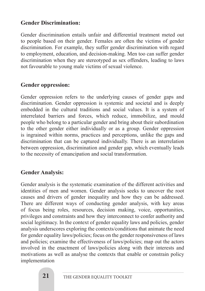#### **Gender Discrimination:**

Gender discrimination entails unfair and differential treatment meted out to people based on their gender. Females are often the victims of gender discrimination. For example, they suffer gender discrimination with regard to employment, education, and decision-making. Men too can suffer gender discrimination when they are stereotyped as sex offenders, leading to laws not favourable to young male victims of sexual violence.

#### **Gender oppression:**

Gender oppression refers to the underlying causes of gender gaps and discrimination. Gender oppression is systemic and societal and is deeply embedded in the cultural traditions and social values. It is a system of interrelated barriers and forces, which reduce, immobilize, and mould people who belong to a particular gender and bring about their subordination to the other gender either individually or as a group. Gender oppression is ingrained within norms, practices and perceptions, unlike the gaps and discrimination that can be captured individually. There is an interrelation between oppression, discrimination and gender gap, which eventually leads to the necessity of emancipation and social transformation.

#### **Gender Analysis:**

Gender analysis is the systematic examination of the different activities and identities of men and women. Gender analysis seeks to uncover the root causes and drivers of gender inequality and how they can be addressed. There are different ways of conducting gender analysis, with key areas of focus being roles, resources, decision making, voice, opportunities, privileges and constraints and how they interconnect to confer authority and social legitimacy. In the context of gender equality laws and policies, gender analysis underscores exploring the contexts/conditions that animate the need for gender equality laws/policies; focus on the gender responsiveness of laws and policies; examine the effectiveness of laws/policies; map out the actors involved in the enactment of laws/policies along with their interests and motivations as well as analyse the contexts that enable or constrain policy implementation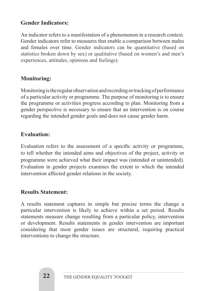#### **Gender Indicators:**

An indicator refers to a manifestation of a phenomenon in a research context. Gender indicators refer to measures that enable a comparison between males and females over time. Gender indicators can be quantitative (based on statistics broken down by sex) or qualitative (based on women's and men's experiences, attitudes, opinions and feelings).

#### **Monitoring:**

Monitoring is the regular observation and recording or tracking of performance of a particular activity or programme. The purpose of monitoring is to ensure the programme or activities progress according to plan. Monitoring from a gender perspective is necessary to ensure that an intervention is on course regarding the intended gender goals and does not cause gender harm.

#### **Evaluation:**

Evaluation refers to the assessment of a specific activity or programme, to tell whether the intended aims and objectives of the project, activity or programme were achieved what their impact was (intended or unintended). Evaluation in gender projects examines the extent to which the intended intervention affected gender relations in the society.

#### **Results Statement:**

A results statement captures in simple but precise terms the change a particular intervention is likely to achieve within a set period. Results statements measure change resulting from a particular policy, intervention or development. Results statements in gender intervention are important considering that most gender issues are structural, requiring practical interventions to change the structure.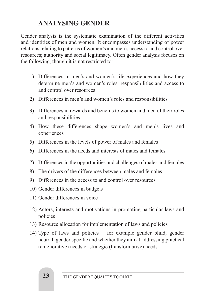# **3.0 ANALYSING GENDER**

Gender analysis is the systematic examination of the different activities and identities of men and women. It encompasses understanding of power relations relating to patterns of women's and men's access to and control over resources; authority and social legitimacy. Often gender analysis focuses on the following, though it is not restricted to:

- 1) Differences in men's and women's life experiences and how they determine men's and women's roles, responsibilities and access to and control over resources
- 2) Differences in men's and women's roles and responsibilities
- 3) Differences in rewards and benefits to women and men of their roles and responsibilities
- 4) How these differences shape women's and men's lives and experiences
- 5) Differences in the levels of power of males and females
- 6) Differences in the needs and interests of males and females
- 7) Differences in the opportunities and challenges of males and females
- 8) The drivers of the differences between males and females
- 9) Differences in the access to and control over resources
- 10) Gender differences in budgets
- 11) Gender differences in voice
- 12) Actors, interests and motivations in promoting particular laws and policies
- 13) Resource allocation for implementation of laws and policies
- 14) Type of laws and policies for example gender blind, gender neutral, gender specific and whether they aim at addressing practical (ameliorative) needs or strategic (transformative) needs.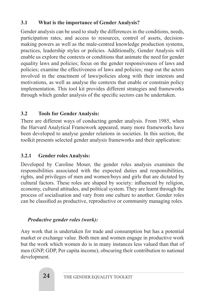#### **3.1 What is the importance of Gender Analysis?**

Gender analysis can be used to study the differences in the conditions, needs, participation rates, and access to resources, control of assets, decisionmaking powers as well as the male-centred knowledge production systems, practices, leadership styles or policies. Additionally, Gender Analysis will enable us explore the contexts or conditions that animate the need for gender equality laws and policies; focus on the gender responsiveness of laws and policies; examine the effectiveness of laws and policies; map out the actors involved in the enactment of laws/policies along with their interests and motivations, as well as analyse the contexts that enable or constrain policy implementation. This tool kit provides different strategies and frameworks through which gender analysis of the specific sectors can be undertaken.

#### **3.2 Tools for Gender Analysis:**

There are different ways of conducting gender analysis. From 1985, when the Harvard Analytical Framework appeared, many more frameworks have been developed to analyse gender relations in societies. In this section, the toolkit presents selected gender analysis frameworks and their application:

#### **3.2.1 Gender roles Analysis:**

Developed by Caroline Moser, the gender roles analysis examines the responsibilities associated with the expected duties and responsibilities, rights, and privileges of men and women/boys and girls that are dictated by cultural factors. These roles are shaped by society: influenced by religion, economy, cultural attitudes, and political system. They are learnt through the process of socialisation and vary from one culture to another. Gender roles can be classified as productive, reproductive or community managing roles.

#### *Productive gender roles (work):*

Any work that is undertaken for trade and consumption but has a potential market or exchange value. Both men and women engage in productive work but the work which women do is in many instances less valued than that of men (GNP, GDP, Per capita income), obscuring their contribution to national development.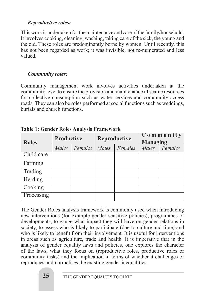#### *Reproductive roles:*

This work is undertaken for the maintenance and care of the family/household. It involves cooking, cleaning, washing, taking care of the sick, the young and the old. These roles are predominantly borne by women. Until recently, this has not been regarded as work; it was invisible, not re-numerated and less valued.

#### *Community roles:*

Community management work involves activities undertaken at the community level to ensure the provision and maintenance of scarce resources for collective consumption such as water services and community access roads. They can also be roles performed at social functions such as weddings, burials and church functions.

| <b>Roles</b> | <b>Productive</b> |         |       | Reproductive | $C$ o m m u n i t y<br><b>Managing</b> |         |
|--------------|-------------------|---------|-------|--------------|----------------------------------------|---------|
|              | Males             | Females | Males | Females      | Males                                  | Females |
| Child care   |                   |         |       |              |                                        |         |
| Farming      |                   |         |       |              |                                        |         |
| Trading      |                   |         |       |              |                                        |         |
| Herding      |                   |         |       |              |                                        |         |
| Cooking      |                   |         |       |              |                                        |         |
| Processing   |                   |         |       |              |                                        |         |

**Table 1: Gender Roles Analysis Framework**

The Gender Roles analysis framework is commonly used when introducing new interventions (for example gender sensitive policies), programmes or developments, to gauge what impact they will have on gender relations in society, to assess who is likely to participate (due to culture and time) and who is likely to benefit from their involvement. It is useful for interventions in areas such as agriculture, trade and health. It is imperative that in the analysis of gender equality laws and policies, one explores the character of the laws, what they focus on (reproductive roles, productive roles or community tasks) and the implication in terms of whether it challenges or reproduces and normalises the existing gender inequalities.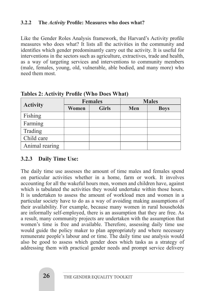#### **3.2.2 The** *Activity* **Profile: Measures who does what?**

Like the Gender Roles Analysis framework, the Harvard's Activity profile measures who does what? It lists all the activities in the community and identifies which gender predominantly carry out the activity. It is useful for interventions in the sectors such as agriculture, extractives, trade and health, as a way of targeting services and interventions to community members (male, females, young, old, vulnerable, able bodied, and many more) who need them most.

|                 |              | <b>Females</b> |     | <b>Males</b> |
|-----------------|--------------|----------------|-----|--------------|
| <b>Activity</b> | <b>Women</b> | <b>Girls</b>   | Men | <b>Boys</b>  |
| Fishing         |              |                |     |              |
| Farming         |              |                |     |              |
| Trading         |              |                |     |              |
| Child care      |              |                |     |              |
| Animal rearing  |              |                |     |              |

**Tables 2: Activity Profile (Who Does What)** 

#### **3.2.3 Daily Time Use:**

The daily time use assesses the amount of time males and females spend on particular activities whether in a home, farm or work. It involves accounting for all the wakeful hours men, women and children have, against which is tabulated the activities they would undertake within those hours. It is undertaken to assess the amount of workload men and women in a particular society have to do as a way of avoiding making assumptions of their availability. For example, because many women in rural households are informally self-employed, there is an assumption that they are free. As a result, many community projects are undertaken with the assumption that women's time is free and available. Therefore, assessing daily time use would guide the policy maker to plan appropriately and where necessary remunerate people's labour and or time. The daily time use analysis would also be good to assess which gender does which tasks as a strategy of addressing them with practical gender needs and prompt service delivery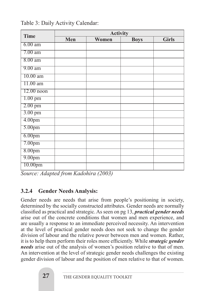| <b>Time</b>         | <b>Activity</b> |       |             |              |  |  |  |
|---------------------|-----------------|-------|-------------|--------------|--|--|--|
|                     | Men             | Women | <b>Boys</b> | <b>Girls</b> |  |  |  |
| $6.00$ am           |                 |       |             |              |  |  |  |
| $7.00$ am           |                 |       |             |              |  |  |  |
| $8.00$ am           |                 |       |             |              |  |  |  |
| $9.00 a$ m          |                 |       |             |              |  |  |  |
| $10.00$ am          |                 |       |             |              |  |  |  |
| $11.00$ am          |                 |       |             |              |  |  |  |
| $12.00$ noon        |                 |       |             |              |  |  |  |
| $1.00$ pm           |                 |       |             |              |  |  |  |
| $2.00$ pm           |                 |       |             |              |  |  |  |
| $3.00 \text{ pm}$   |                 |       |             |              |  |  |  |
| 4.00 <sub>pm</sub>  |                 |       |             |              |  |  |  |
| 5.00 <sub>pm</sub>  |                 |       |             |              |  |  |  |
| 6.00 <sub>pm</sub>  |                 |       |             |              |  |  |  |
| 7.00 <sub>pm</sub>  |                 |       |             |              |  |  |  |
| 8.00pm              |                 |       |             |              |  |  |  |
| 9.00 <sub>pm</sub>  |                 |       |             |              |  |  |  |
| 10.00 <sub>pm</sub> |                 |       |             |              |  |  |  |

Table 3: Daily Activity Calendar:

*Source: Adapted from Kadohira (2003)*

#### **3.2.4 Gender Needs Analysis:**

Gender needs are needs that arise from people's positioning in society, determined by the socially constructed attributes. Gender needs are normally classified as practical and strategic. As seen on pg 13, *practical gender needs* arise out of the concrete conditions that women and men experience, and are usually a response to an immediate perceived necessity. An intervention at the level of practical gender needs does not seek to change the gender division of labour and the relative power between men and women. Rather, it is to help them perform their roles more efficiently. While *strategic gender needs* arise out of the analysis of women's position relative to that of men. An intervention at the level of strategic gender needs challenges the existing gender division of labour and the position of men relative to that of women.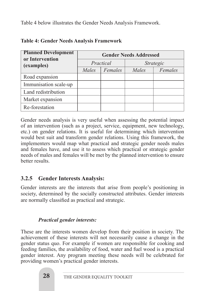Table 4 below illustrates the Gender Needs Analysis Framework.

| <b>Planned Development</b><br>or Intervention | <b>Gender Needs Addressed</b> |           |       |           |  |
|-----------------------------------------------|-------------------------------|-----------|-------|-----------|--|
| (examples)                                    |                               | Practical |       | Strategic |  |
|                                               | Males                         | Females   | Males | Females   |  |
| Road expansion                                |                               |           |       |           |  |
| Immunisation scale-up                         |                               |           |       |           |  |
| Land redistribution                           |                               |           |       |           |  |
| Market expansion                              |                               |           |       |           |  |
| Re-forestation                                |                               |           |       |           |  |

#### **Table 4: Gender Needs Analysis Framework**

Gender needs analysis is very useful when assessing the potential impact of an intervention (such as a project, service, equipment, new technology, etc.) on gender relations. It is useful for determining which intervention would best suit and transform gender relations. Using this framework, the implementers would map what practical and strategic gender needs males and females have, and use it to assess which practical or strategic gender needs of males and females will be met by the planned intervention to ensure better results.

#### **3.2.5 Gender Interests Analysis:**

Gender interests are the interests that arise from people's positioning in society, determined by the socially constructed attributes. Gender interests are normally classified as practical and strategic.

#### *Practical gender interests:*

These are the interests women develop from their position in society. The achievement of these interests will not necessarily cause a change in the gender status quo. For example if women are responsible for cooking and feeding families, the availability of food, water and fuel wood is a practical gender interest. Any program meeting these needs will be celebrated for providing women's practical gender interests.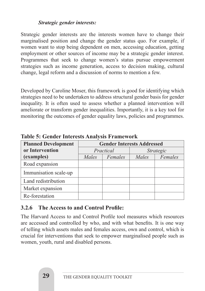#### *Strategic gender interests:*

Strategic gender interests are the interests women have to change their marginalised position and change the gender status quo. For example, if women want to stop being dependent on men, accessing education, getting employment or other sources of income may be a strategic gender interest. Programmes that seek to change women's status pursue empowerment strategies such as income generation, access to decision making, cultural change, legal reform and a discussion of norms to mention a few.

Developed by Caroline Moser, this framework is good for identifying which strategies need to be undertaken to address structural gender basis for gender inequality. It is often used to assess whether a planned intervention will ameliorate or transform gender inequalities. Importantly, it is a key tool for monitoring the outcomes of gender equality laws, policies and programmes.

| <b>Planned Development</b> |       | <b>Gender Interests Addressed</b> |       |                  |  |
|----------------------------|-------|-----------------------------------|-------|------------------|--|
| or Intervention            |       | Practical                         |       | <i>Strategic</i> |  |
| (examples)                 | Males | Females                           | Males | Females          |  |
| Road expansion             |       |                                   |       |                  |  |
| Immunisation scale-up      |       |                                   |       |                  |  |
| Land redistribution        |       |                                   |       |                  |  |
| Market expansion           |       |                                   |       |                  |  |
| Re-forestation             |       |                                   |       |                  |  |

**Table 5: Gender Interests Analysis Framework**

#### **3.2.6 The Access to and Control Profile:**

The Harvard Access to and Control Profile tool measures which resources are accessed and controlled by who, and with what benefits. It is one way of telling which assets males and females access, own and control, which is crucial for interventions that seek to empower marginalised people such as women, youth, rural and disabled persons.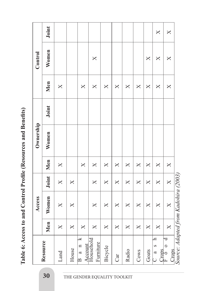|                                                                               |                         | Access                  |                         |          | Ownership |       |              | Control                 |                         |
|-------------------------------------------------------------------------------|-------------------------|-------------------------|-------------------------|----------|-----------|-------|--------------|-------------------------|-------------------------|
| Resource                                                                      | Men                     | Women                   | Joint                   | Men      | Women     | Joint | Men          | Women                   | Joint                   |
| Land                                                                          | $\times$                | $\mathsf{X}$            | $\times$                | X        |           |       | X            |                         |                         |
| House                                                                         | $\times$                | X                       | $\overline{\mathsf{X}}$ |          |           |       |              |                         |                         |
| $\overline{\mathbf{X}}$<br>$a \quad n$<br><b>Account</b><br>$\mathbf{\Omega}$ | $\mathsf{X}$            |                         |                         | X        |           |       | $\mathsf{X}$ |                         |                         |
| Household<br>Furniture                                                        | $\mathsf{X}$            | $\overline{\mathsf{X}}$ | $\times$                | $\times$ |           |       | $\times$     | X                       |                         |
| Bicycle                                                                       | $\mathsf{X}$            | $\mathsf{X}$            | $\times$                | $\times$ |           |       | $\times$     |                         |                         |
| Car                                                                           | $\mathsf{X}$            | $\times$                | $\overline{\mathsf{X}}$ | $\times$ |           |       | $\times$     |                         |                         |
| Radio                                                                         | $\overline{\mathsf{X}}$ | $\overline{\mathsf{X}}$ | $\overline{\mathsf{X}}$ | $\times$ |           |       | $\times$     |                         |                         |
| Cows                                                                          | $\mathsf{X}$            | $\overline{\mathsf{X}}$ | $\mathsf{X}$            | $\times$ |           |       | $\times$     |                         |                         |
| Goats                                                                         | $\times$                | $\overline{\mathsf{X}}$ | $\overline{\mathsf{X}}$ | $\times$ |           |       | $\times$     | X                       |                         |
| $\mathbf{a}$<br>$\infty$<br>L <sub>cons</sub><br>$\frac{a}{c}$                | $\times$                | $\overline{\mathsf{X}}$ | $\mathsf{X}$            | $\times$ |           |       | $\times$     | $\overline{\mathsf{X}}$ | $\mathsf{X}$            |
| $\triangleleft$<br>$\frac{6}{10}$<br>Crops                                    | $\times$                | $\overline{\mathsf{X}}$ | $\times$                | $\times$ |           |       | $\times$     | $\times$                | $\overline{\mathsf{X}}$ |
| Source: Adapted from Kadohira (2003)                                          |                         |                         |                         |          |           |       |              |                         |                         |

Table 6: Access to and Control Profile (Resources and Benefits) **Table 6: Access to and Control Profile (Resources and Benefits)**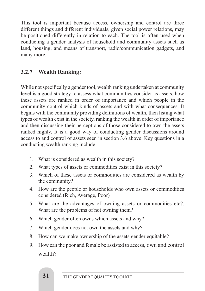This tool is important because access, ownership and control are three different things and different individuals, given social power relations, may be positioned differently in relation to each. The tool is often used when conducting a gender analysis of household and community assets such as land, housing, and means of transport, radio/communication gadgets, and many more.

#### **3.2.7 Wealth Ranking:**

While not specifically a gender tool, wealth ranking undertaken at community level is a good strategy to assess what communities consider as assets, how these assets are ranked in order of importance and which people in the community control which kinds of assets and with what consequences. It begins with the community providing definitions of wealth, then listing what types of wealth exist in the society, ranking the wealth in order of importance and then discussing their perceptions of those considered to own the assets ranked highly. It is a good way of conducting gender discussions around access to and control of assets seen in section 3.6 above. Key questions in a conducting wealth ranking include:

- 1. What is considered as wealth in this society?
- 2. What types of assets or commodities exist in this society?
- 3. Which of these assets or commodities are considered as wealth by the community?
- 4. How are the people or households who own assets or commodities considered (Rich, Average, Poor)
- 5. What are the advantages of owning assets or commodities etc?. What are the problems of not owning them?
- 6. Which gender often owns which assets and why?
- 7. Which gender does not own the assets and why?
- 8. How can we make ownership of the assets gender equitable?
- 9. How can the poor and female be assisted to access, own and control wealth?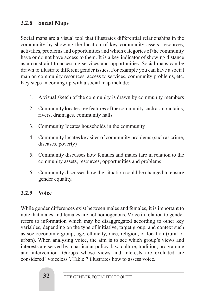## **3.2.8 Social Maps**

Social maps are a visual tool that illustrates differential relationships in the community by showing the location of key community assets, resources, activities, problems and opportunities and which categories of the community have or do not have access to them. It is a key indicator of showing distance as a constraint to accessing services and opportunities. Social maps can be drawn to illustrate different gender issues. For example you can have a social map on community resources, access to services, community problems, etc. Key steps in coming up with a social map include:

- 1. A visual sketch of the community is drawn by community members
- 2. Community locates key features of the community such as mountains, rivers, drainages, community halls
- 3. Community locates households in the community
- 4. Community locates key sites of community problems (such as crime, diseases, poverty)
- 5. Community discusses how females and males fare in relation to the community assets, resources, opportunities and problems
- 6. Community discusses how the situation could be changed to ensure gender equality.

#### **3.2.9 Voice**

While gender differences exist between males and females, it is important to note that males and females are not homogenous. Voice in relation to gender refers to information which may be disaggregated according to other key variables, depending on the type of initiative, target group, and context such as socioeconomic group, age, ethnicity, race, religion, or location (rural or urban). When analysing voice, the aim is to see which group's views and interests are served by a particular policy, law, culture, tradition, programme and intervention. Groups whose views and interests are excluded are considered "voiceless". Table 7 illustrates how to assess voice.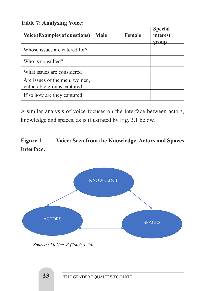**Table 7: Analysing Voice:**

| <b>Voice (Examples of questions)</b>                        | Male | <b>Female</b> | <b>Special</b><br>interest<br>group |
|-------------------------------------------------------------|------|---------------|-------------------------------------|
| Whose issues are catered for?                               |      |               |                                     |
| Who is consulted?                                           |      |               |                                     |
| What issues are considered                                  |      |               |                                     |
| Are issues of the men, women,<br>vulnerable groups captured |      |               |                                     |
| If so how are they captured                                 |      |               |                                     |

A similar analysis of voice focuses on the interface between actors, knowledge and spaces, as is illustrated by Fig. 3.1 below. KIIO W

# Figure 1 Voice: Seen from the Knowledge, Actors and Spaces Interface.



people that have a stake in policy development and implementation. Actors hold opinions and

agency. Knowledge implies information gathered through research. *Knowledge* is constructed

*Source1: McGee, R (2004: 1-26)*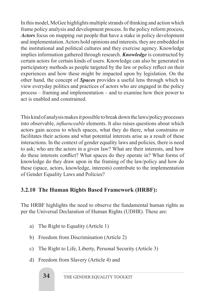In this model, McGee highlights multiple strands of thinking and action which frame policy analysis and development process. In the policy reform process, *Actors* focus on mapping out people that have a stake in policy development and implementation. Actors hold opinions and interests, they are embedded in the institutional and political cultures and they exercise agency. Knowledge implies information gathered through research. *Knowledge* is constructed by certain actors for certain kinds of users. Knowledge can also be generated in participatory methods as people targeted by the law or policy reflect on their experiences and how these might be impacted upon by legislation. On the other hand, the concept of *Spaces* provides a useful lens through which to view everyday politics and practices of actors who are engaged in the policy process – framing and implementation – and to examine how their power to act is enabled and constrained.

This kind of analysis makes it possible to break down the laws/policy processes into observable, *influenceable* elements. It also raises questions about which actors gain access to which spaces, what they do there, what constrains or facilitates their actions and what potential interests arise as a result of these interactions. In the context of gender equality laws and policies, there is need to ask; who are the actors in a given law? What are their interests, and how do these interests conflict? What spaces do they operate in? What forms of knowledge do they draw upon in the framing of the law/policy and how do these (space, actors, knowledge, interests) contribute to the implementation of Gender Equality Laws and Policies?

#### **3.2.10 The Human Rights Based Framework (HRBF):**

The HRBF highlights the need to observe the fundamental human rights as per the Universal Declaration of Human Rights (UDHR). These are:

- a) The Right to Equality (Article 1)
- b) Freedom from Discrimination (Article 2)
- c) The Right to Life, Liberty, Personal Security (Article 3)
- d) Freedom from Slavery (Article 4) and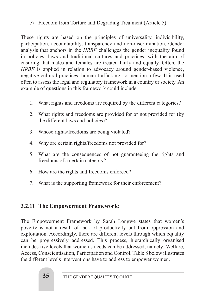e) Freedom from Torture and Degrading Treatment (Article 5)

These rights are based on the principles of universality, indivisibility, participation, accountability, transparency and non-discrimination. Gender analysis that anchors in the *HRBF* challenges the gender inequality found in policies, laws and traditional cultures and practices, with the aim of ensuring that males and females are treated fairly and equally. Often, the *HRBF* is applied in relation to advocacy around gender-based violence, negative cultural practices, human trafficking, to mention a few. It is used often to assess the legal and regulatory framework in a country or society. An example of questions in this framework could include:

- 1. What rights and freedoms are required by the different categories?
- 2. What rights and freedoms are provided for or not provided for (by the different laws and policies)?
- 3. Whose rights/freedoms are being violated?
- 4. Why are certain rights/freedoms not provided for?
- 5. What are the consequences of not guaranteeing the rights and freedoms of a certain category?
- 6. How are the rights and freedoms enforced?
- 7. What is the supporting framework for their enforcement?

#### **3.2.11 The Empowerment Framework:**

The Empowerment Framework by Sarah Longwe states that women's poverty is not a result of lack of productivity but from oppression and exploitation. Accordingly, there are different levels through which equality can be progressively addressed. This process, hierarchically organised includes five levels that women's needs can be addressed, namely: Welfare, Access, Conscientisation, Participation and Control. Table 8 below illustrates the different levels interventions have to address to empower women.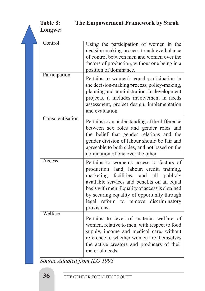|  | Table 8:<br>The Empowerment Framework by Sarah<br>Longwe: |                                                                                                                                                                                                                                                                                                                                              |  |  |  |
|--|-----------------------------------------------------------|----------------------------------------------------------------------------------------------------------------------------------------------------------------------------------------------------------------------------------------------------------------------------------------------------------------------------------------------|--|--|--|
|  | Control                                                   | Using the participation of women in the<br>decision-making process to achieve balance<br>of control between men and women over the<br>factors of production, without one being in a<br>position of dominance.                                                                                                                                |  |  |  |
|  | Participation                                             | Pertains to women's equal participation in<br>the decision-making process, policy-making,<br>planning and administration. In development<br>projects, it includes involvement in needs<br>assessment, project design, implementation<br>and evaluation.                                                                                      |  |  |  |
|  | Conscientisation                                          | Pertains to an understanding of the difference<br>between sex roles and gender roles and<br>the belief that gender relations and the<br>gender division of labour should be fair and<br>agreeable to both sides, and not based on the<br>domination of one over the other                                                                    |  |  |  |
|  | Access                                                    | Pertains to women's access to factors of<br>production: land, labour, credit, training,<br>marketing<br>facilities, and all publicly<br>available services and benefits on an equal<br>basis with men. Equality of access is obtained<br>by securing equality of opportunity through<br>legal reform to remove discriminatory<br>provisions. |  |  |  |
|  | Welfare                                                   | Pertains to level of material welfare of<br>women, relative to men, with respect to food<br>supply, income and medical care, without<br>reference to whether women are themselves<br>the active creators and producers of their<br>material needs                                                                                            |  |  |  |

*Source Adapted from ILO 1998*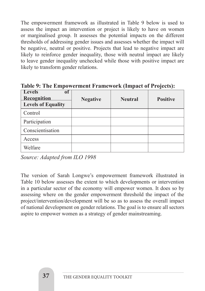The empowerment framework as illustrated in Table 9 below is used to assess the impact an intervention or project is likely to have on women or marginalised group. It assesses the potential impacts on the different thresholds of addressing gender issues and assesses whether the impact will be negative, neutral or positive. Projects that lead to negative impact are likely to reinforce gender inequality, those with neutral impact are likely to leave gender inequality unchecked while those with positive impact are likely to transform gender relations.

| <b>Levels</b><br>0Ī<br>Recognition<br><b>Levels of Equality</b> | <b>Negative</b> | <b>Neutral</b> | <b>Positive</b> |
|-----------------------------------------------------------------|-----------------|----------------|-----------------|
| Control                                                         |                 |                |                 |
| Participation                                                   |                 |                |                 |
| Conscientisation                                                |                 |                |                 |
| Access                                                          |                 |                |                 |
| Welfare                                                         |                 |                |                 |

**Table 9: The Empowerment Framework (Impact of Projects):**

*Source: Adapted from ILO 1998*

The version of Sarah Longwe's empowerment framework illustrated in Table 10 below assesses the extent to which developments or intervention in a particular sector of the economy will empower women. It does so by assessing where on the gender empowerment threshold the impact of the project/intervention/development will be so as to assess the overall impact of national development on gender relations. The goal is to ensure all sectors aspire to empower women as a strategy of gender mainstreaming.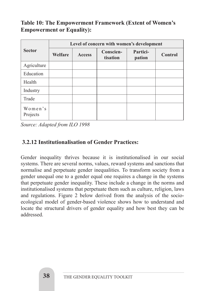#### **Table 10: The Empowerment Framework (Extent of Women's Empowerment or Equality):**

|                     | Level of concern with women's development |               |                       |                    |         |  |  |  |
|---------------------|-------------------------------------------|---------------|-----------------------|--------------------|---------|--|--|--|
| <b>Sector</b>       | Welfare                                   | <b>Access</b> | Conscien-<br>tisation | Partici-<br>pation | Control |  |  |  |
| Agriculture         |                                           |               |                       |                    |         |  |  |  |
| Education           |                                           |               |                       |                    |         |  |  |  |
| Health              |                                           |               |                       |                    |         |  |  |  |
| Industry            |                                           |               |                       |                    |         |  |  |  |
| Trade               |                                           |               |                       |                    |         |  |  |  |
| Women's<br>Projects |                                           |               |                       |                    |         |  |  |  |

*Source: Adapted from ILO 1998*

#### **3.2.12 Institutionalisation of Gender Practices:**

Gender inequality thrives because it is institutionalised in our social systems. There are several norms, values, reward systems and sanctions that normalise and perpetuate gender inequalities. To transform society from a gender unequal one to a gender equal one requires a change in the systems that perpetuate gender inequality. These include a change in the norms and institutionalised systems that perpetuate them such as culture, religion, laws and regulations. Figure 2 below derived from the analysis of the socioecological model of gender-based violence shows how to understand and locate the structural drivers of gender equality and how best they can be addressed.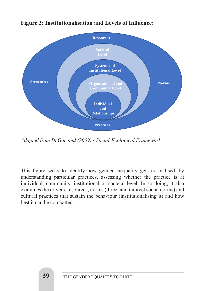

#### **Figure 2: Institutionalisation and Levels of Influence:**

*Adapted from DeGue and (2009)'s Social-Ecological Framework Adapted from DeGue and (2009)'s Social-Ecological Framework*

This figure seeks to identify how gender inequality gets normalised, by understanding particular practices, assessing whether the practice is at individual, community, institutional or societal level. In so doing, it also examines the drivers, resources, norms (direct and indirect social norms) and cultural practices that sustain the behaviour (institutionalising it) and how best it can be combatted. indirect social normal property in the behaviour equation of the behaviour cultural property in the behaviour (institutional property)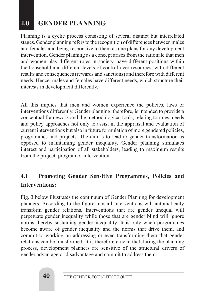# **4.0 GENDER PLANNING**

Planning is a cyclic process consisting of several distinct but interrelated stages. Gender planning refers to the recognition of differences between males and females and being responsive to them as one plans for any development intervention. Gender planning as a concept arises from the rationale that men and women play different roles in society, have different positions within the household and different levels of control over resources, with different results and consequences (rewards and sanctions) and therefore with different needs. Hence, males and females have different needs, which structure their interests in development differently.

All this implies that men and women experience the policies, laws or interventions differently. Gender planning, therefore, is intended to provide a conceptual framework and the methodological tools, relating to roles, needs and policy approaches not only to assist in the appraisal and evaluation of current interventions but also in future formulation of more gendered policies, programmes and projects. The aim is to lead to gender transformation as opposed to maintaining gender inequality. Gender planning stimulates interest and participation of all stakeholders, leading to maximum results from the project, program or intervention.

# **4.1 Promoting Gender Sensitive Programmes, Policies and Interventions:**

Fig. 3 below illustrates the continuum of Gender Planning for development planners. According to the figure, not all interventions will automatically transform gender relations. Interventions that are gender unequal will perpetuate gender inequality while those that are gender blind will ignore norms thereby sustaining gender inequality. It is only when programmes become aware of gender inequality and the norms that drive them, and commit to working on addressing or even transforming them that gender relations can be transformed. It is therefore crucial that during the planning process, development planners are sensitive of the structural drivers of gender advantage or disadvantage and commit to address them.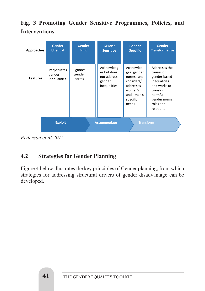# **Fig. 3 Promoting Gender Sensitive Programmes, Policies, and Interventions**

| Approaches      | <b>Gender</b><br><b>Unequal</b>       | <b>Gender</b><br><b>Blind</b> | <b>Gender</b><br><b>Sensitive</b>                                  | <b>Gender</b><br><b>Specific</b>                                                                             | <b>Gender</b><br><b>Transformative</b>                                                                                                        |
|-----------------|---------------------------------------|-------------------------------|--------------------------------------------------------------------|--------------------------------------------------------------------------------------------------------------|-----------------------------------------------------------------------------------------------------------------------------------------------|
| <b>Features</b> | Perpetuates<br>gender<br>inequalities | Ignores<br>gender<br>norms    | Acknowledg<br>es but does<br>not address<br>gender<br>inequalities | Acknowled<br>ges gender<br>norms and<br>considers/<br>addresses<br>women's<br>and men's<br>specific<br>needs | Addresses the<br>causes of<br>gender-based<br>inequalities<br>and works to<br>transform<br>harmful<br>gender norms,<br>roles and<br>relations |
|                 | <b>Exploit</b>                        |                               | <b>Accommodate</b>                                                 | <b>Transform</b>                                                                                             |                                                                                                                                               |

*Pederson et al 2015 Pederson et al 2015*

# **4.2** Strategies for Gender Planning

Figure 4 below illustrates the key principles of Gender planning, from which strategies for addressing structural drivers of gender disadvantage can be developed.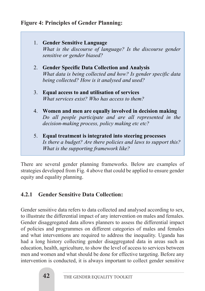#### **Figure 4: Principles of Gender Planning:**

1. **Gender Sensitive Language** *What is the discourse of language? Is the discourse gender sensitive or gender biased?* 2. **Gender Specific Data Collection and Analysis** *What data is being collected and how? Is gender specific data being collected? How is it analysed and used?* 3. **Equal access to and utilisation of services** *What services exist? Who has access to them?*  4. **Women and men are equally involved in decision making** *Do all people participate and are all represented in the decision-making process, policy making etc etc?*  5. **Equal treatment is integrated into steering processes**

*Is there a budget? Are there policies and laws to support this? What is the supporting framework like?*

There are several gender planning frameworks. Below are examples of strategies developed from Fig. 4 above that could be applied to ensure gender equity and equality planning.

## **4.2.1 Gender Sensitive Data Collection:**

Gender sensitive data refers to data collected and analysed according to sex, to illustrate the differential impact of any intervention on males and females. Gender disaggregated data allows planners to assess the differential impact of policies and programmes on different categories of males and females and what interventions are required to address the inequality. Uganda has had a long history collecting gender disaggregated data in areas such as education, health, agriculture, to show the level of access to services between men and women and what should be done for effective targeting. Before any intervention is conducted, it is always important to collect gender sensitive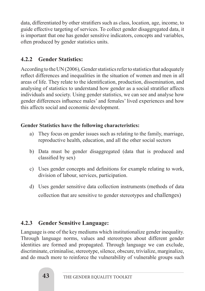data, differentiated by other stratifiers such as class, location, age, income, to guide effective targeting of services. To collect gender disaggregated data, it is important that one has gender sensitive indicators, concepts and variables, often produced by gender statistics units.

## **4.2.2 Gender Statistics:**

According to the UN (2006), Gender statistics refer to statistics that adequately reflect differences and inequalities in the situation of women and men in all areas of life. They relate to the identification, production, dissemination, and analysing of statistics to understand how gender as a social stratifier affects individuals and society. Using gender statistics, we can see and analyse how gender differences influence males' and females' lived experiences and how this affects social and economic development.

#### **Gender Statistics have the following characteristics:**

- a) They focus on gender issues such as relating to the family, marriage, reproductive health, education, and all the other social sectors
- b) Data must be gender disaggregated (data that is produced and classified by sex)
- c) Uses gender concepts and definitions for example relating to work, division of labour, services, participation.
- d) Uses gender sensitive data collection instruments (methods of data collection that are sensitive to gender stereotypes and challenges)

#### **4.2.3 Gender Sensitive Language:**

Language is one of the key mediums which institutionalize gender inequality. Through language norms, values and stereotypes about different gender identities are formed and propagated. Through language we can exclude, discriminate, criminalise, stereotype, silence, obscure, trivialize, marginalize, and do much more to reinforce the vulnerability of vulnerable groups such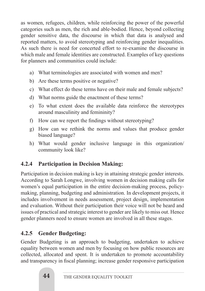as women, refugees, children, while reinforcing the power of the powerful categories such as men, the rich and able-bodied. Hence, beyond collecting gender sensitive data, the discourse in which that data is analysed and reported matters, to avoid stereotyping and reinforcing gender inequalities. As such there is need for concerted effort to re-examine the discourse in which male and female identities are constructed. Examples of key questions for planners and communities could include:

- a) What terminologies are associated with women and men?
- b) Are these terms positive or negative?
- c) What effect do these terms have on their male and female subjects?
- d) What norms guide the enactment of these terms?
- e) To what extent does the available data reinforce the stereotypes around masculinity and femininity?
- f) How can we report the findings without stereotyping?
- g) How can we rethink the norms and values that produce gender biased language?
- h) What would gender inclusive language in this organization/ community look like?

## **4.2.4 Participation in Decision Making:**

Participation in decision making is key in attaining strategic gender interests. According to Sarah Longwe, involving women in decision making calls for women's equal participation in the entire decision-making process, policymaking, planning, budgeting and administration. In development projects, it includes involvement in needs assessment, project design, implementation and evaluation. Without their participation their voice will not be heard and issues of practical and strategic interest to gender are likely to miss out. Hence gender planners need to ensure women are involved in all these stages.

#### **4.2.5 Gender Budgeting:**

Gender Budgeting is an approach to budgeting, undertaken to achieve equality between women and men by focusing on how public resources are collected, allocated and spent. It is undertaken to promote accountability and transparency in fiscal planning; increase gender responsive participation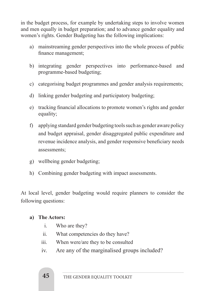in the budget process, for example by undertaking steps to involve women and men equally in budget preparation; and to advance gender equality and women's rights. Gender Budgeting has the following implications:

- a) mainstreaming gender perspectives into the whole process of public finance management;
- b) integrating gender perspectives into performance-based and programme-based budgeting;
- c) categorising budget programmes and gender analysis requirements;
- d) linking gender budgeting and participatory budgeting;
- e) tracking financial allocations to promote women's rights and gender equality;
- f) applying standard gender budgeting tools such as gender aware policy and budget appraisal, gender disaggregated public expenditure and revenue incidence analysis, and gender responsive beneficiary needs assessments;
- g) wellbeing gender budgeting;
- h) Combining gender budgeting with impact assessments.

At local level, gender budgeting would require planners to consider the following questions:

#### **a) The Actors:**

- i. Who are they?
- ii. What competencies do they have?
- iii. When were/are they to be consulted
- iv. Are any of the marginalised groups included?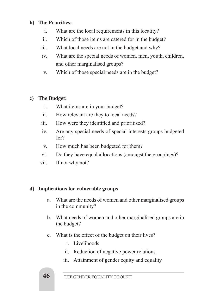#### **b) The Priorities:**

- i. What are the local requirements in this locality?
- ii. Which of those items are catered for in the budget?
- iii. What local needs are not in the budget and why?
- iv. What are the special needs of women, men, youth, children, and other marginalised groups?
- v. Which of those special needs are in the budget?

#### **c) The Budget:**

- i. What items are in your budget?
- ii. How relevant are they to local needs?
- iii. How were they identified and prioritised?
- iv. Are any special needs of special interests groups budgeted for?
- v. How much has been budgeted for them?
- vi. Do they have equal allocations (amongst the groupings)?
- vii. If not why not?

#### **d) Implications for vulnerable groups**

- a. What are the needs of women and other marginalised groups in the community?
- b. What needs of women and other marginalised groups are in the budget?
- c. What is the effect of the budget on their lives?
	- i. Livelihoods
	- ii. Reduction of negative power relations
	- iii. Attainment of gender equity and equality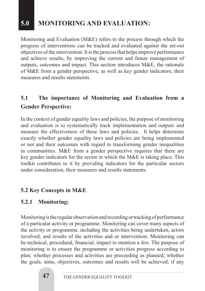# **5.0 MONITORING AND EVALUATION:**

Monitoring and Evaluation (M&E) refers to the process through which the progress of interventions can be tracked and evaluated against the set-out objectives of the intervention. It is the process that helps improve performance and achieve results, by improving the current and future management of outputs, outcomes and impact. This section introduces M&E, the rationale of M&E from a gender perspective, as well as key gender indicators, their measures and results statements.

# **5.1 The importance of Monitoring and Evaluation from a Gender Perspective:**

In the context of gender equality laws and policies, the purpose of monitoring and evaluation is to systematically track implementation and outputs and measure the effectiveness of these laws and policies. It helps determine exactly whether gender equality laws and policies are being implemented or not and their outcomes with regard to transforming gender inequalities in communities. M&E from a gender perspective requires that there are key gender indicators for the sector in which the M&E is taking place. This toolkit contributes to it by providing indicators for the particular sectors under consideration, their measures and results statements.

#### **5.2 Key Concepts in M&E**

#### **5.2.1 Monitoring:**

Monitoring is the regular observation and recording or tracking of performance of a particular activity or programme. Monitoring can cover many aspects of the activity or programme, including the activities being undertaken, actors involved, and results of the activities and or intervention. Monitoring can be technical, procedural, financial, impact to mention a few. The purpose of monitoring is to ensure the programme or activities progress according to plan; whether processes and activities are proceeding as planned; whether the goals, aims, objectives, outcomes and results will be achieved; if any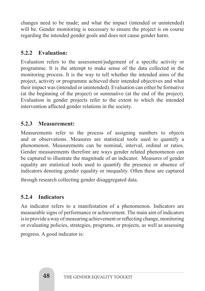changes need to be made; and what the impact (intended or unintended) will be. Gender monitoring is necessary to ensure the project is on course regarding the intended gender goals and does not cause gender harm.

#### **5.2.2 Evaluation:**

Evaluation refers to the assessment/judgement of a specific activity or programme. It is the attempt to make sense of the data collected in the monitoring process. It is the way to tell whether the intended aims of the project, activity or programme achieved their intended objectives and what their impact was (intended or unintended). Evaluation can either be formative (at the beginning of the project) or summative (at the end of the project). Evaluation in gender projects refer to the extent to which the intended intervention affected gender relations in the society.

#### **5.2.3 Measurement:**

Measurements refer to the process of assigning numbers to objects and or observations. Measures are statistical tools used to quantify a phenomenon. Measurements can be nominal, interval, ordinal or ratios. Gender measurements therefore are ways gender related phenomenon can be captured to illustrate the magnitude of an indicator. Measures of gender equality are statistical tools used to quantify the presence or absence of indicators denoting gender equality or inequality. Often these are captured

through research collecting gender disaggregated data.

#### **5.2.4 Indicators**

An indicator refers to a manifestation of a phenomenon. Indicators are measurable signs of performance or achievement. The main aim of indicators is to provide a way of measuring achievement or reflecting change, monitoring or evaluating policies, strategies, programs, or projects, as well as assessing progress. A good indicator is: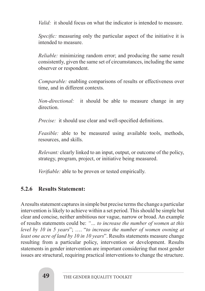*Valid:* it should focus on what the indicator is intended to measure.

*Specific:* measuring only the particular aspect of the initiative it is intended to measure.

*Reliable:* minimizing random error; and producing the same result consistently, given the same set of circumstances, including the same observer or respondent.

*Comparable:* enabling comparisons of results or effectiveness over time, and in different contexts.

*Non-directional:* it should be able to measure change in any direction.

*Precise:* it should use clear and well-specified definitions.

*Feasible:* able to be measured using available tools, methods, resources, and skills.

*Relevant:* clearly linked to an input, output, or outcome of the policy, strategy, program, project, or initiative being measured.

*Verifiable:* able to be proven or tested empirically.

#### **5.2.6 Results Statement:**

A results statement captures in simple but precise terms the change a particular intervention is likely to achieve within a set period. This should be simple but clear and concise, neither ambitious nor vague, narrow or broad. An example of results statements could be: *"… to increase the number of women at this level by 10 in 5 years*"; …. "*to increase the number of women owning at least one acre of land by 10 in 10 years*". Results statements measure change resulting from a particular policy, intervention or development. Results statements in gender intervention are important considering that most gender issues are structural, requiring practical interventions to change the structure.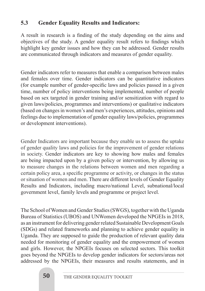#### **5.3 Gender Equality Results and Indicators:**

A result in research is a finding of the study depending on the aims and objectives of the study. A gender equality result refers to findings which highlight key gender issues and how they can be addressed. Gender results are communicated through indicators and measures of gender equality.

Gender indicators refer to measures that enable a comparison between males and females over time. Gender indicators can be quantitative indicators (for example number of gender-specific laws and policies passed in a given time, number of policy interventions being implemented, number of people based on sex targeted in gender training and/or sensitization with regard to given laws/policies, programmes and interventions) or qualitative indicators (based on changes in women's and men's experiences, attitudes, opinions and feelings due to implementation of gender equality laws/policies, programmes or development interventions).

Gender Indicators are important because they enable us to assess the uptake of gender quality laws and policies for the improvement of gender relations in society. Gender indicators are key to showing how males and females are being impacted upon by a given policy or intervention, by allowing us to measure changes in the relations between women and men regarding a certain policy area, a specific programme or activity, or changes in the status or situation of women and men. There are different levels of Gender Equality Results and Indicators, including macro/national Level, subnational/local government level, family levels and programme or project level.

The School of Women and Gender Studies (SWGS), together with the Uganda Bureau of Statistics (UBOS) and UNWomen developed the NPGEIs in 2018, as an instrument for delivering gender related Sustainable Development Goals (SDGs) and related frameworks and planning to achieve gender equality in Uganda. They are supposed to guide the production of relevant quality data needed for monitoring of gender equality and the empowerment of women and girls. However, the NPGEIs focuses on selected sectors. This toolkit goes beyond the NPGEIs to develop gender indicators for sectors/areas not addressed by the NPGEIs, their measures and results statements, and in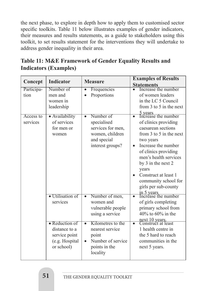the next phase, to explore in depth how to apply them to customised sector specific toolkits. Table 11 below illustrates examples of gender indicators, their measures and results statements, as a guide to stakeholders using this toolkit, to set results statement for the interventions they will undertake to address gender inequality in their area.

# **Table 11: M&E Framework of Gender Equality Results and Indicators (Examples)**

|            | <b>Indicator</b>         | <b>Measure</b>                 | <b>Examples of Results</b>             |
|------------|--------------------------|--------------------------------|----------------------------------------|
| Concept    |                          |                                | <b>Statements</b>                      |
| Participa- | Number of                | Frequencies                    | Increase the number                    |
| tion       | men and                  | Proportions                    | of women leaders                       |
|            | women in                 |                                | in the LC 5 Council                    |
|            | leadership               |                                | from 3 to 5 in the next                |
|            |                          |                                | 5 years<br>Increase the number         |
| Access to  | · Availability           | Number of<br>$\bullet$         |                                        |
| services   | of services              | specialised                    | of clinics providing                   |
|            | for men or               | services for men,              | caesarean sections                     |
|            | women                    | women, children                | from $3$ to $5$ in the next            |
|            |                          | and special                    | two years                              |
|            |                          | interest groups?               | Increase the number<br>$\bullet$       |
|            |                          |                                | of clinics providing                   |
|            |                          |                                | men's health services                  |
|            |                          |                                | by 3 in the next 2                     |
|            |                          |                                | years                                  |
|            |                          |                                | Construct at least 1                   |
|            |                          |                                | community school for                   |
|            |                          |                                | girls per sub-county                   |
|            |                          |                                |                                        |
|            | $\bullet$ Utilisation of | Number of men,<br>$\bullet$    | in 5 years<br>Increase the number<br>ō |
|            | services                 | women and                      | of girls completing                    |
|            |                          | vulnerable people              | primary school from                    |
|            |                          |                                | 40% to 60% in the                      |
|            |                          | using a service                |                                        |
|            | • Reduction of           | Kilometres to the<br>$\bullet$ | next 10 years.<br>Construct at least   |
|            | distance to a            | nearest service                | 1 health centre in                     |
|            | service point            | point                          | the 5 hard to reach                    |
|            | (e.g. Hospital           | Number of service              | communities in the                     |
|            | or school)               | points in the                  | next 5 years.                          |
|            |                          |                                |                                        |
|            |                          | locality                       |                                        |
|            |                          |                                |                                        |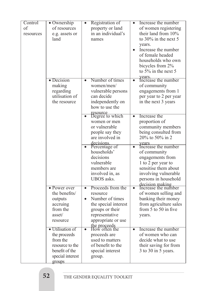| Control   | • Ownership                  |           | Registration of                         |                      | Increase the number                           |
|-----------|------------------------------|-----------|-----------------------------------------|----------------------|-----------------------------------------------|
| of        | of resources                 |           | property or land                        |                      | of women registering                          |
| resources | e.g. assets or               |           | in an individual's                      |                      | their land from 10%                           |
|           | land                         |           | names                                   |                      | to 30% in the next 5                          |
|           |                              |           |                                         |                      | years.                                        |
|           |                              |           |                                         |                      | Increase the number                           |
|           |                              |           |                                         |                      | of female headed                              |
|           |                              |           |                                         |                      | households who own                            |
|           |                              |           |                                         |                      | bicycles from 2%                              |
|           |                              |           |                                         |                      | to $5\%$ in the next 5                        |
|           |                              |           | Number of times                         |                      | years.<br>Increase the number                 |
|           | $\bullet$ Decision<br>making | $\bullet$ | women/men/                              | $\bullet$            |                                               |
|           | regarding                    |           | vulnerable persons                      |                      | of community<br>engagements from 1            |
|           | utilisation of               |           | can decide                              |                      | per year to 2 per year                        |
|           | the resource                 |           | independently on                        |                      | in the next 3 years                           |
|           |                              |           | how to use the                          |                      |                                               |
|           |                              |           |                                         |                      |                                               |
|           |                              |           | resource<br>Degree to which             | $\overline{\bullet}$ | Increase the                                  |
|           |                              |           | women or men                            |                      | proportion of                                 |
|           |                              |           | or vulnerable                           |                      | community members                             |
|           |                              |           | people say they                         |                      | being consulted from                          |
|           |                              |           | are involved in                         |                      | 20% to 50% in 2                               |
|           |                              |           | decisions.<br>Percentage of             | $\bullet$            | vears<br>Increase the number                  |
|           |                              |           | households'                             |                      | of community                                  |
|           |                              |           | decisions                               |                      | engagements from                              |
|           |                              |           | vulnerable                              |                      | 1 to 2 per year to                            |
|           |                              |           | members are                             |                      | sensitise them about                          |
|           |                              |           | involved in, as                         |                      | involving vulnerable                          |
|           |                              |           | <b>UBOS</b> asks.                       |                      | persons in household                          |
|           |                              |           |                                         |                      | decision making<br>Increase the number        |
|           | $\bullet$ Power over         | $\bullet$ | Proceeds from the                       | $\overline{\bullet}$ |                                               |
|           | the benefits/                |           | resource                                |                      | of women selling and                          |
|           | outputs<br>accruing          | $\bullet$ | Number of times                         |                      | banking their money<br>from agriculture sales |
|           | from the                     |           | the special interest<br>groups or their |                      | from $5$ to $50$ in five                      |
|           | asset/                       |           | representative                          |                      | years.                                        |
|           | resource                     |           | appropriate or use                      |                      |                                               |
|           |                              |           |                                         |                      |                                               |
|           | · Utilisation of             | $\bullet$ | the proceeds<br>How often the           | $\bullet$            | Increase the number                           |
|           | the proceeds                 |           | proceeds are                            |                      | of women who can                              |
|           | from the                     |           | used to matters                         |                      | decide what to use                            |
|           | resource to the              |           | of benefit to the                       |                      | their saving for from                         |
|           | benefit of the               |           | special interest                        |                      | 3 to 30 in 5 years.                           |
|           | special interest             |           | group.                                  |                      |                                               |
|           | groups                       |           |                                         |                      |                                               |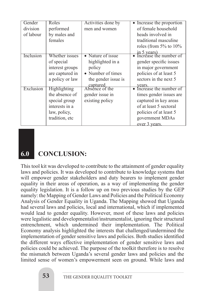| Gender    | Roles           | Activities done by         | Increase the proportion               |
|-----------|-----------------|----------------------------|---------------------------------------|
| division  | performed       | men and women              | of female household                   |
| of labour | by males and    |                            | heads involved in                     |
|           | females         |                            | traditional masculine                 |
|           |                 |                            | roles (from $5\%$ to $10\%$           |
|           |                 |                            | in 5 years)<br>Increase the number of |
| Inclusion | Whether issues  | • Nature of issue          |                                       |
|           | of special      | highlighted in a           | gender specific issues                |
|           | interest groups | policy                     | in major government                   |
|           | are captured in | • Number of times          | policies of at least 5                |
|           | a policy or law | the gender issue is        | sectors in the next 5                 |
|           |                 | captured<br>Absence of the | years.<br>Increase the number of      |
| Exclusion | Highlighting    |                            |                                       |
|           | the absence of  | gender issue in            | times gender issues are               |
|           | special group   | existing policy            | captured in key areas                 |
|           | interests in a  |                            | of at least 5 sectoral                |
|           | law, policy,    |                            | policies of at least 5                |
|           | tradition, etc  |                            | government MDAs                       |
|           |                 |                            | over 3 years.                         |

# **6.0 CONCLUSION:**

This tool kit was developed to contribute to the attainment of gender equality laws and policies. It was developed to contribute to knowledge systems that will empower gender stakeholders and duty bearers to implement gender equality in their areas of operation, as a way of implementing the gender equality legislation. It is a follow up on two previous studies by the GEP namely: the Mapping of Gender Laws and Policies and the Political Economy Analysis of Gender Equality in Uganda. The Mapping showed that Uganda had several laws and policies, local and international, which if implemented would lead to gender equality. However, most of these laws and policies were legalistic and developmentalist/instrumentalist, ignoring their structural entrenchment, which undermined their implementation. The Political Economy analysis highlighted the interests that challenged/undermined the implementation of gender sensitive laws and policies. Both studies identified the different ways effective implementation of gender sensitive laws and policies could be achieved. The purpose of the toolkit therefore is to resolve the mismatch between Uganda's several gender laws and policies and the limited sense of women's empowerment seen on ground. While laws and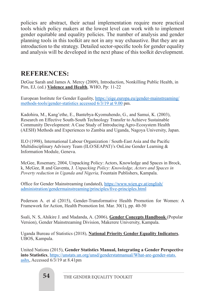policies are abstract, their actual implementation require more practical tools which policy makers at the lowest level can work with to implement gender equitable and equality policies. The number of analysis and gender planning tools in this toolkit are not in any way exhaustive. But they are an introduction to the strategy. Detailed sector-specific tools for gender equality and analysis will be developed in the next phase of this toolkit development.

## **REFERENCES:**

DeGue Sarah and James A. Mercy (2009), Introduction, Nonkilling Public Health, in Pim, EJ, (ed.) **Violence and Health**, WHO, Pp: 11-22

European Institute for Gender Equality, https://eige.europa.eu/gender-mainstreaming/ methods-tools/gender-statistics accessed 6/3/19 at 9.00 pm.

Kadohira, M., Kang'ethe, E., Bantebya-Kyomuhendo, G., and Samui, K. (2003), Research on Effective South-South Technology Transfer to Achieve Sustainable Community Development: A Case Study of Introducing Agro-Ecosystem Health (AESH) Methods and Experiences to Zambia and Uganda, Nagoya University, Japan.

ILO (1998), International Labour Organization / South-East Asia and the Pacific Multidisciplinary Advisory Team (ILO/SEAPAT)'s OnLine Gender Learning & Information Module, Geneva.

McGee, Rosemary, 2004, Unpacking Policy: Actors, Knowledge and Spaces in Brock, k, McGee, R and Gaventa, J. *Unpacking Policy: Knowledge, Actors and Spaces in Poverty reduction in Uganda and Nigeria,* Fountain Publishers, Kampala.

Office for Gender Mainstreaming (undated), https://www.wien.gv.at/english/ administration/gendermainstreaming/principles/five-principles.html

Pederson A. et al (2015), Gender-Transformative Health Promotion for Women: A Framework for Action, Health Promotion Int. Mar. 30(1), pp. 40-50

Ssali, N. S, Ahikire J. and Madanda, A. (2006), **Gender Concepts Handbook** (Popular Version), Gender Mainstreaming Division, Makerere University, Kampala.

Uganda Bureau of Statistics (2018), **National Priority Gender Equality Indicators**, UBOS, Kampala.

United Nations (2015), **Gender Statistics Manual, Integrating a Gender Perspective into Statistics**, https://unstats.un.org/unsd/genderstatmanual/What-are-gender-stats. ashx, Accessed 6/3/19 at 8.41pm